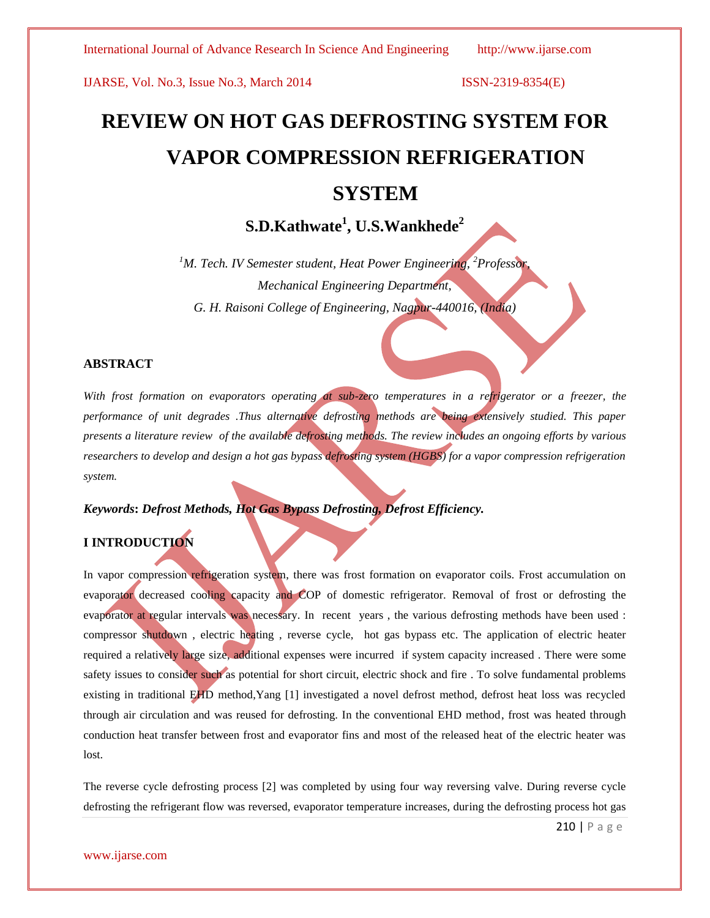# **REVIEW ON HOT GAS DEFROSTING SYSTEM FOR VAPOR COMPRESSION REFRIGERATION**

# **SYSTEM**

## **S.D.Kathwate<sup>1</sup> , U.S.Wankhede<sup>2</sup>**

*<sup>1</sup>M. Tech. IV Semester student, Heat Power Engineering, <sup>2</sup>Professor, Mechanical Engineering Department, G. H. Raisoni College of Engineering, Nagpur-440016, (India)*

### **ABSTRACT**

*With frost formation on evaporators operating at sub-zero temperatures in a refrigerator or a freezer, the performance of unit degrades .Thus alternative defrosting methods are being extensively studied. This paper presents a literature review of the available defrosting methods. The review includes an ongoing efforts by various researchers to develop and design a hot gas bypass defrosting system (HGBS) for a vapor compression refrigeration system.*

*Keywords***:** *Defrost Methods, Hot Gas Bypass Defrosting, Defrost Efficiency.*

### **I INTRODUCTION**

In vapor compression refrigeration system, there was frost formation on evaporator coils. Frost accumulation on evaporator decreased cooling capacity and COP of domestic refrigerator. Removal of frost or defrosting the evaporator at regular intervals was necessary. In recent years , the various defrosting methods have been used : compressor shutdown , electric heating , reverse cycle, hot gas bypass etc. The application of electric heater required a relatively large size, additional expenses were incurred if system capacity increased . There were some safety issues to consider such as potential for short circuit, electric shock and fire . To solve fundamental problems existing in traditional EHD method,Yang [1] investigated a novel defrost method, defrost heat loss was recycled through air circulation and was reused for defrosting. In the conventional EHD method, frost was heated through conduction heat transfer between frost and evaporator fins and most of the released heat of the electric heater was lost.

The reverse cycle defrosting process [2] was completed by using four way reversing valve. During reverse cycle defrosting the refrigerant flow was reversed, evaporator temperature increases, during the defrosting process hot gas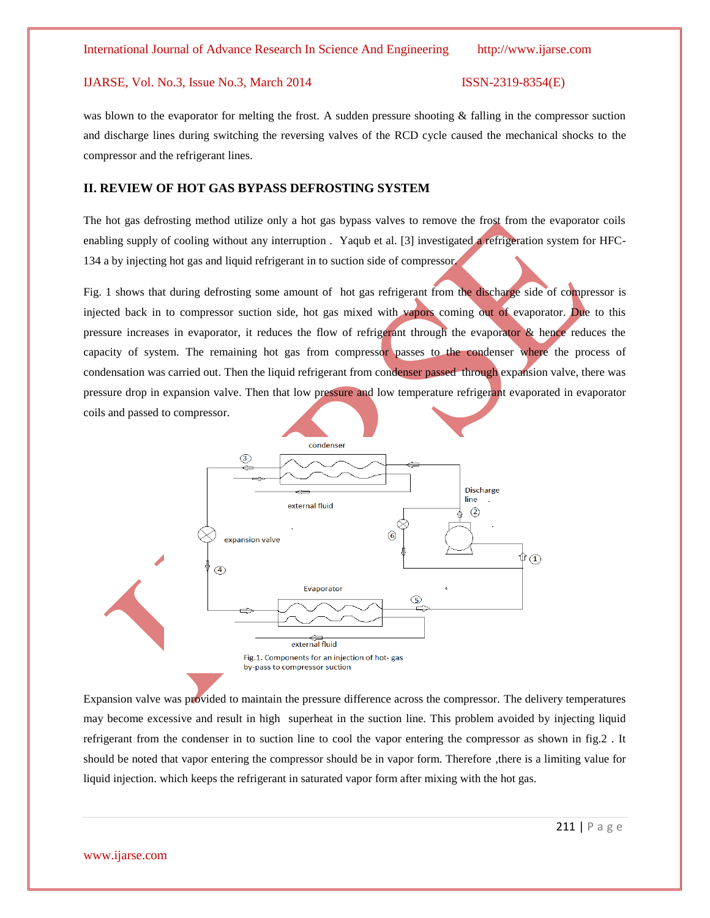was blown to the evaporator for melting the frost. A sudden pressure shooting  $\&$  falling in the compressor suction and discharge lines during switching the reversing valves of the RCD cycle caused the mechanical shocks to the compressor and the refrigerant lines.

#### **II. REVIEW OF HOT GAS BYPASS DEFROSTING SYSTEM**

The hot gas defrosting method utilize only a hot gas bypass valves to remove the frost from the evaporator coils enabling supply of cooling without any interruption . Yaqub et al. [3] investigated a refrigeration system for HFC-134 a by injecting hot gas and liquid refrigerant in to suction side of compressor.

Fig. 1 shows that during defrosting some amount of hot gas refrigerant from the discharge side of compressor is injected back in to compressor suction side, hot gas mixed with vapors coming out of evaporator. Due to this pressure increases in evaporator, it reduces the flow of refrigerant through the evaporator & hence reduces the capacity of system. The remaining hot gas from compressor passes to the condenser where the process of condensation was carried out. Then the liquid refrigerant from condenser passed through expansion valve, there was pressure drop in expansion valve. Then that low pressure and low temperature refrigerant evaporated in evaporator coils and passed to compressor.



Expansion valve was provided to maintain the pressure difference across the compressor. The delivery temperatures may become excessive and result in high superheat in the suction line. This problem avoided by injecting liquid refrigerant from the condenser in to suction line to cool the vapor entering the compressor as shown in fig.2 . It should be noted that vapor entering the compressor should be in vapor form. Therefore ,there is a limiting value for liquid injection. which keeps the refrigerant in saturated vapor form after mixing with the hot gas.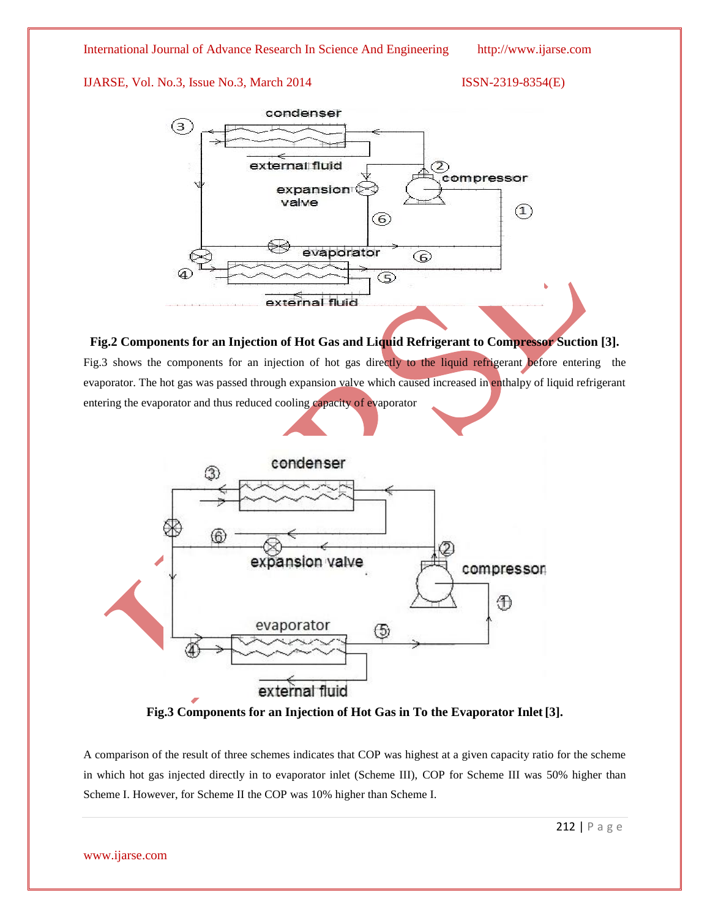



### **Fig.2 Components for an Injection of Hot Gas and Liquid Refrigerant to Compressor Suction [3].**

Fig.3 shows the components for an injection of hot gas directly to the liquid refrigerant before entering the evaporator. The hot gas was passed through expansion valve which caused increased in enthalpy of liquid refrigerant entering the evaporator and thus reduced cooling capacity of evaporator



**Fig.3 Components for an Injection of Hot Gas in To the Evaporator Inlet [3].**

A comparison of the result of three schemes indicates that COP was highest at a given capacity ratio for the scheme in which hot gas injected directly in to evaporator inlet (Scheme III), COP for Scheme III was 50% higher than Scheme I. However, for Scheme II the COP was 10% higher than Scheme I.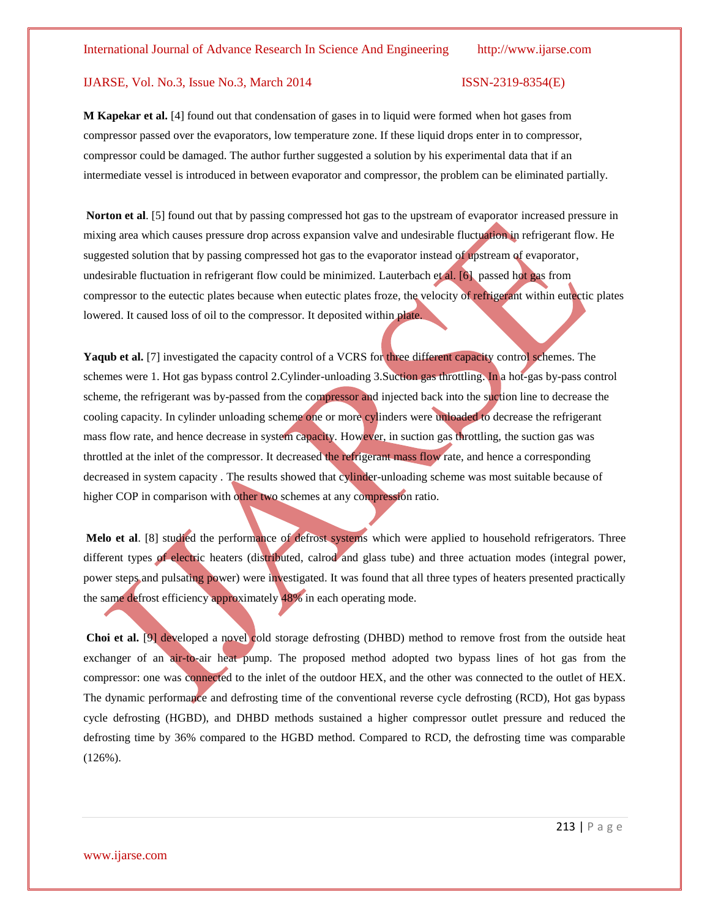**M Kapekar et al.** [4] found out that condensation of gases in to liquid were formed when hot gases from compressor passed over the evaporators, low temperature zone. If these liquid drops enter in to compressor, compressor could be damaged. The author further suggested a solution by his experimental data that if an intermediate vessel is introduced in between evaporator and compressor, the problem can be eliminated partially.

**Norton et al**. [5] found out that by passing compressed hot gas to the upstream of evaporator increased pressure in mixing area which causes pressure drop across expansion valve and undesirable fluctuation in refrigerant flow. He suggested solution that by passing compressed hot gas to the evaporator instead of upstream of evaporator, undesirable fluctuation in refrigerant flow could be minimized. Lauterbach et al. [6] passed hot gas from compressor to the eutectic plates because when eutectic plates froze, the velocity of refrigerant within eutectic plates lowered. It caused loss of oil to the compressor. It deposited within plate.

**Yaqub et al.** [7] investigated the capacity control of a VCRS for three different capacity control schemes. The schemes were 1. Hot gas bypass control 2.Cylinder-unloading 3.Suction gas throttling. In a hot-gas by-pass control scheme, the refrigerant was by-passed from the compressor and injected back into the suction line to decrease the cooling capacity. In cylinder unloading scheme one or more cylinders were unloaded to decrease the refrigerant mass flow rate, and hence decrease in system capacity. However, in suction gas throttling, the suction gas was throttled at the inlet of the compressor. It decreased the refrigerant mass flow rate, and hence a corresponding decreased in system capacity *.* The results showed that cylinder-unloading scheme was most suitable because of higher COP in comparison with other two schemes at any compression ratio.

**Melo et al**. [8] studied the performance of defrost systems which were applied to household refrigerators. Three different types of electric heaters (distributed, calrod and glass tube) and three actuation modes (integral power, power steps and pulsating power) were investigated. It was found that all three types of heaters presented practically the same defrost efficiency approximately 48% in each operating mode.

**Choi et al.** [9] developed a novel cold storage defrosting (DHBD) method to remove frost from the outside heat exchanger of an air-to-air heat pump. The proposed method adopted two bypass lines of hot gas from the compressor: one was connected to the inlet of the outdoor HEX, and the other was connected to the outlet of HEX. The dynamic performance and defrosting time of the conventional reverse cycle defrosting (RCD), Hot gas bypass cycle defrosting (HGBD), and DHBD methods sustained a higher compressor outlet pressure and reduced the defrosting time by 36% compared to the HGBD method. Compared to RCD, the defrosting time was comparable (126%).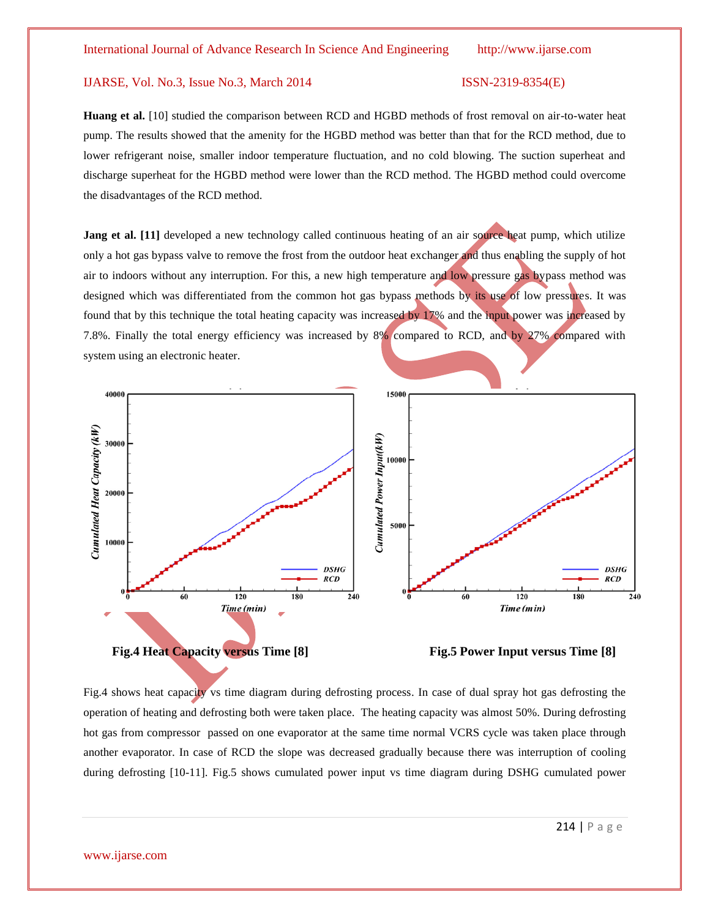**Huang et al.** [10] studied the comparison between RCD and HGBD methods of frost removal on air-to-water heat pump. The results showed that the amenity for the HGBD method was better than that for the RCD method, due to lower refrigerant noise, smaller indoor temperature fluctuation, and no cold blowing. The suction superheat and discharge superheat for the HGBD method were lower than the RCD method. The HGBD method could overcome the disadvantages of the RCD method.

**Jang et al.** [11] developed a new technology called continuous heating of an air source heat pump, which utilize only a hot gas bypass valve to remove the frost from the outdoor heat exchanger and thus enabling the supply of hot air to indoors without any interruption. For this, a new high temperature and low pressure gas bypass method was designed which was differentiated from the common hot gas bypass methods by its use of low pressures. It was found that by this technique the total heating capacity was increased by 17% and the input power was increased by 7.8%. Finally the total energy efficiency was increased by 8% compared to RCD, and by 27% compared with system using an electronic heater.



Fig.4 shows heat capacity vs time diagram during defrosting process. In case of dual spray hot gas defrosting the operation of heating and defrosting both were taken place. The heating capacity was almost 50%. During defrosting hot gas from compressor passed on one evaporator at the same time normal VCRS cycle was taken place through another evaporator. In case of RCD the slope was decreased gradually because there was interruption of cooling during defrosting [10-11]. Fig.5 shows cumulated power input vs time diagram during DSHG cumulated power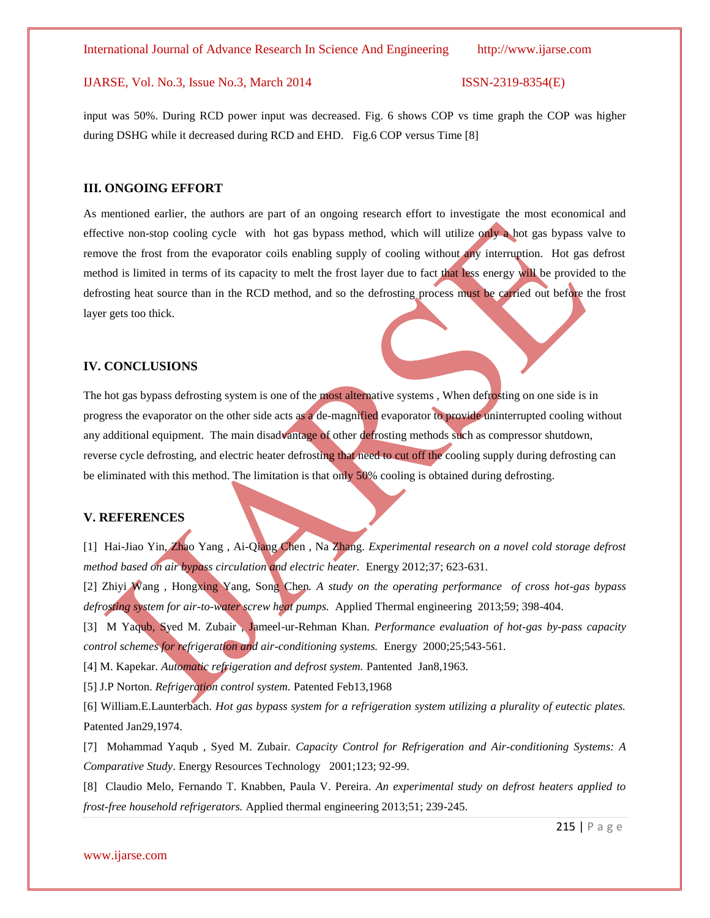input was 50%. During RCD power input was decreased. Fig. 6 shows COP vs time graph the COP was higher during DSHG while it decreased during RCD and EHD. Fig.6 COP versus Time [8]

#### **III. ONGOING EFFORT**

As mentioned earlier, the authors are part of an ongoing research effort to investigate the most economical and effective non-stop cooling cycle with hot gas bypass method, which will utilize only a hot gas bypass valve to remove the frost from the evaporator coils enabling supply of cooling without any interruption. Hot gas defrost method is limited in terms of its capacity to melt the frost layer due to fact that less energy will be provided to the defrosting heat source than in the RCD method, and so the defrosting process must be carried out before the frost layer gets too thick.

#### **IV. CONCLUSIONS**

The hot gas bypass defrosting system is one of the most alternative systems, When defrosting on one side is in progress the evaporator on the other side acts as a de-magnified evaporator to provide uninterrupted cooling without any additional equipment. The main disadvantage of other defrosting methods such as compressor shutdown, reverse cycle defrosting, and electric heater defrosting that need to cut off the cooling supply during defrosting can be eliminated with this method. The limitation is that only 50% cooling is obtained during defrosting.

#### **V. REFERENCES**

[1] Hai-Jiao Yin, Zhao Yang , Ai-Qiang Chen , Na Zhang. *Experimental research on a novel cold storage defrost method based on air bypass circulation and electric heater.* Energy 2012;37; 623-631.

[2] Zhiyi Wang , Hongxing Yang, Song Chen*. A study on the operating performance of cross hot-gas bypass defrosting system for air-to-water screw heat pumps.* Applied Thermal engineering 2013;59; 398-404.

[3] M Yaqub, Syed M. Zubair , Jameel-ur-Rehman Khan. *Performance evaluation of hot-gas by-pass capacity control schemes for refrigeration and air-conditioning systems.* Energy 2000;25;543-561.

[4] M. Kapekar*. Automatic refrigeration and defrost system.* Pantented Jan8,1963.

[5] J.P Norton. *Refrigeration control system.* Patented Feb13,1968

[6] William.E.Launterbach. *Hot gas bypass system for a refrigeration system utilizing a plurality of eutectic plates.* Patented Jan29,1974.

[7] Mohammad Yaqub , Syed M. Zubair. *Capacity Control for Refrigeration and Air-conditioning Systems: A Comparative Study*. Energy Resources Technology 2001;123; 92-99.

[8] Claudio Melo, Fernando T. Knabben, Paula V. Pereira*. An experimental study on defrost heaters applied to frost-free household refrigerators.* Applied thermal engineering 2013;51; 239-245.